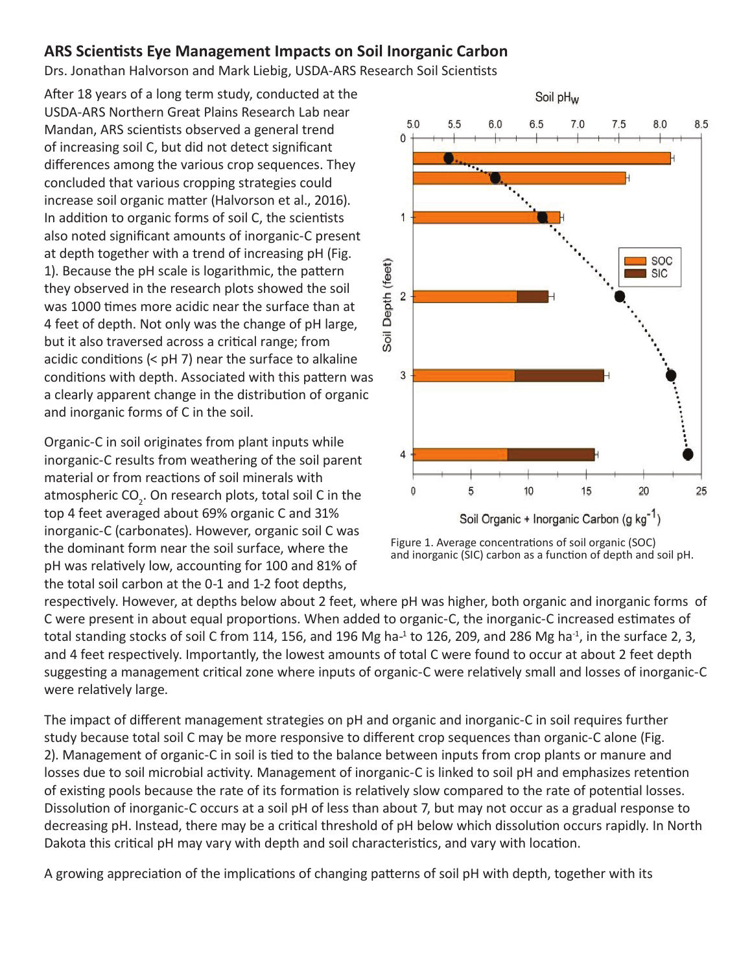## **ARS Scientists Eye Management Impacts on Soil Inorganic Carbon**

Drs. Jonathan Halvorson and Mark Liebig, USDA-ARS Research Soil Scientists

After 18 years of a long term study, conducted at the USDA-ARS Northern Great Plains Research Lab near Mandan, ARS scientists observed a general trend of increasing soil C, but did not detect significant differences among the various crop sequences. They concluded that various cropping strategies could increase soil organic matter (Halvorson et al., 2016). In addition to organic forms of soil C, the scientists also noted significant amounts of inorganic-C present at depth together with a trend of increasing pH (Fig. 1). Because the pH scale is logarithmic, the pattern they observed in the research plots showed the soil was 1000 times more acidic near the surface than at 4 feet of depth. Not only was the change of pH large, but it also traversed across a critical range; from acidic conditions (< pH 7) near the surface to alkaline conditions with depth. Associated with this pattern was a clearly apparent change in the distribution of organic and inorganic forms of C in the soil.

Organic-C in soil originates from plant inputs while inorganic-C results from weathering of the soil parent material or from reactions of soil minerals with atmospheric CO<sub>2</sub>. On research plots, total soil C in the top 4 feet averaged about 69% organic C and 31% inorganic-C (carbonates). However, organic soil C was the dominant form near the soil surface, where the pH was relatively low, accounting for 100 and 81% of the total soil carbon at the 0-1 and 1-2 foot depths,



Figure 1. Average concentrations of soil organic (SOC) and inorganic (SIC) carbon as a function of depth and soil pH.

respectively. However, at depths below about 2 feet, where pH was higher, both organic and inorganic forms of C were present in about equal proportions. When added to organic-C, the inorganic-C increased estimates of total standing stocks of soil C from 114, 156, and 196 Mg ha-<sup>1</sup> to 126, 209, and 286 Mg ha<sup>-1</sup>, in the surface 2, 3, and 4 feet respectively. Importantly, the lowest amounts of total C were found to occur at about 2 feet depth suggesting a management critical zone where inputs of organic-C were relatively small and losses of inorganic-C were relatively large.

The impact of different management strategies on pH and organic and inorganic-C in soil requires further study because total soil C may be more responsive to different crop sequences than organic-C alone (Fig. 2). Management of organic-C in soil is tied to the balance between inputs from crop plants or manure and losses due to soil microbial activity. Management of inorganic-C is linked to soil pH and emphasizes retention of existing pools because the rate of its formation is relatively slow compared to the rate of potential losses. Dissolution of inorganic-C occurs at a soil pH of less than about 7, but may not occur as a gradual response to decreasing pH. Instead, there may be a critical threshold of pH below which dissolution occurs rapidly. In North Dakota this critical pH may vary with depth and soil characteristics, and vary with location.

A growing appreciation of the implications of changing patterns of soil pH with depth, together with its